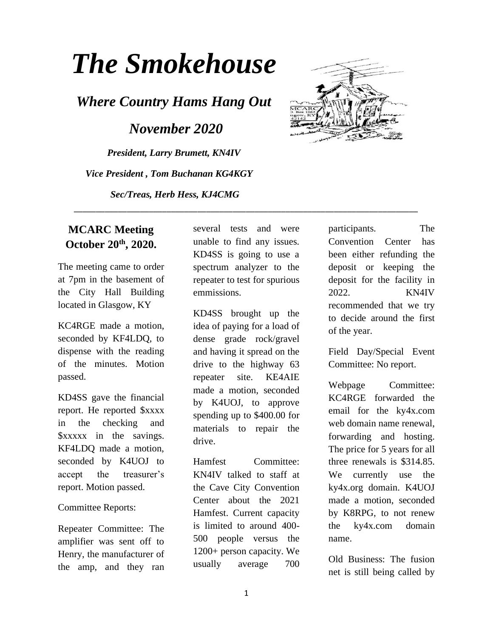# *The Smokehouse*

*Where Country Hams Hang Out*

 *November 2020*

*President, Larry Brumett, KN4IV Vice President , Tom Buchanan KG4KGY Sec/Treas, Herb Hess, KJ4CMG*



## **MCARC Meeting October 20th, 2020.**

The meeting came to order at 7pm in the basement of the City Hall Building located in Glasgow, KY

KC4RGE made a motion, seconded by KF4LDQ, to dispense with the reading of the minutes. Motion passed.

KD4SS gave the financial report. He reported \$xxxx in the checking and \$xxxxx in the savings. KF4LDQ made a motion, seconded by K4UOJ to accept the treasurer's report. Motion passed.

#### Committee Reports:

Repeater Committee: The amplifier was sent off to Henry, the manufacturer of the amp, and they ran

several tests and were unable to find any issues. KD4SS is going to use a spectrum analyzer to the repeater to test for spurious emmissions.

\_\_\_\_\_\_\_\_\_\_\_\_\_\_\_\_\_\_\_\_\_\_\_\_\_\_\_\_\_\_\_\_\_\_\_\_\_\_\_\_\_\_\_\_\_\_\_\_\_\_\_\_\_\_\_\_\_\_\_\_\_\_\_\_\_\_\_\_\_\_\_\_\_\_\_\_\_\_

KD4SS brought up the idea of paying for a load of dense grade rock/gravel and having it spread on the drive to the highway 63 repeater site. KE4AIE made a motion, seconded by K4UOJ, to approve spending up to \$400.00 for materials to repair the drive.

Hamfest Committee: KN4IV talked to staff at the Cave City Convention Center about the 2021 Hamfest. Current capacity is limited to around 400- 500 people versus the 1200+ person capacity. We usually average 700 participants. The Convention Center has been either refunding the deposit or keeping the deposit for the facility in 2022. KN4IV recommended that we try to decide around the first of the year.

Field Day/Special Event Committee: No report.

Webpage Committee: KC4RGE forwarded the email for the ky4x.com web domain name renewal, forwarding and hosting. The price for 5 years for all three renewals is \$314.85. We currently use the ky4x.org domain. K4UOJ made a motion, seconded by K8RPG, to not renew the ky4x.com domain name.

Old Business: The fusion net is still being called by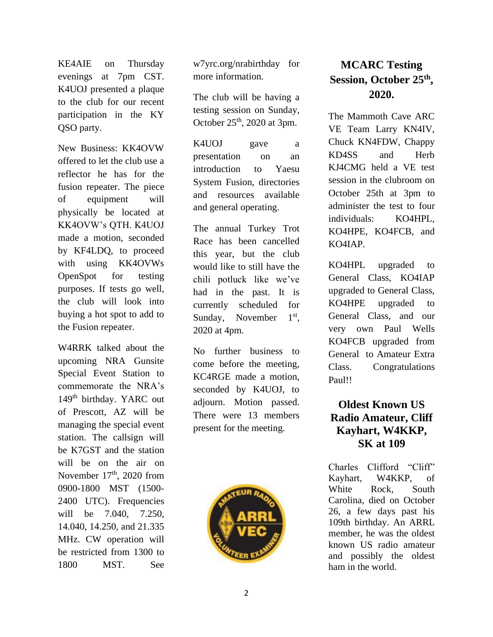KE4AIE on Thursday evenings at 7pm CST. K4UOJ presented a plaque to the club for our recent participation in the KY QSO party.

New Business: KK4OVW offered to let the club use a reflector he has for the fusion repeater. The piece of equipment will physically be located at KK4OVW's QTH. K4UOJ made a motion, seconded by KF4LDQ, to proceed with using KK4OVWs OpenSpot for testing purposes. If tests go well, the club will look into buying a hot spot to add to the Fusion repeater.

W4RRK talked about the upcoming NRA Gunsite Special Event Station to commemorate the NRA's 149<sup>th</sup> birthday. YARC out of Prescott, AZ will be managing the special event station. The callsign will be K7GST and the station will be on the air on November  $17<sup>th</sup>$ , 2020 from 0900-1800 MST (1500- 2400 UTC). Frequencies will be 7.040, 7.250, 14.040, 14.250, and 21.335 MHz. CW operation will be restricted from 1300 to 1800 MST. See

w7yrc.org/nrabirthday for more information.

The club will be having a testing session on Sunday, October  $25<sup>th</sup>$ , 2020 at 3pm.

K4UOJ gave a presentation on an introduction to Yaesu System Fusion, directories and resources available and general operating.

The annual Turkey Trot Race has been cancelled this year, but the club would like to still have the chili potluck like we've had in the past. It is currently scheduled for Sunday, November  $1^{\rm st}$ . 2020 at 4pm.

No further business to come before the meeting, KC4RGE made a motion, seconded by K4UOJ, to adjourn. Motion passed. There were 13 members present for the meeting.



# **MCARC Testing Session, October 25th , 2020.**

The Mammoth Cave ARC VE Team Larry KN4IV, Chuck KN4FDW, Chappy KD4SS and Herb KJ4CMG held a VE test session in the clubroom on October 25th at 3pm to administer the test to four individuals: KO4HPL, KO4HPE, KO4FCB, and KO4IAP.

KO4HPL upgraded to General Class, KO4IAP upgraded to General Class, KO4HPE upgraded to General Class, and our very own Paul Wells KO4FCB upgraded from General to Amateur Extra Class. Congratulations Paul!!

# **Oldest Known US Radio Amateur, Cliff Kayhart, W4KKP, SK at 109**

Charles Clifford "Cliff" Kayhart, W4KKP, of White Rock, South Carolina, died on October 26, a few days past his 109th birthday. An ARRL member, he was the oldest known US radio amateur and possibly the oldest ham in the world.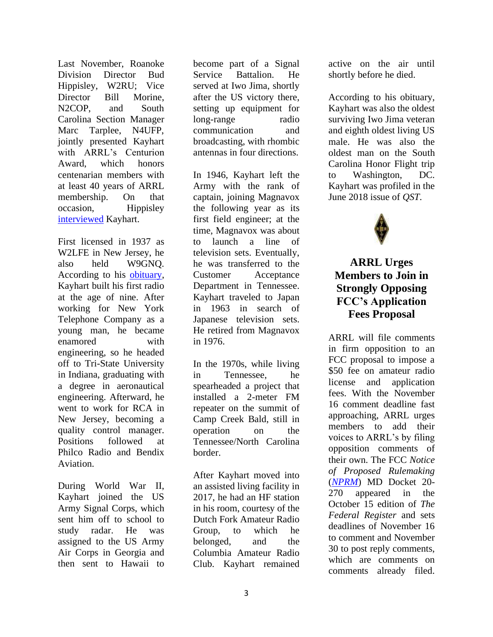Last November, Roanoke Division Director Bud Hippisley, W2RU; Vice Director Bill Morine, N2COP, and South Carolina Section Manager Marc Tarplee, N4UFP, jointly presented Kayhart with ARRL's Centurion Award, which honors centenarian members with at least 40 years of ARRL membership. On that occasion, Hippisley [interviewed](http://www.arrl.org/news/roanoke-division-director-interviews-oldest-us-radio-amateur) Kayhart.

First licensed in 1937 as W2LFE in New Jersey, he also held W9GNQ. According to his [obituary,](https://www.dignitymemorial.com/obituaries/lexington-sc/charles-kayhart-9866304) Kayhart built his first radio at the age of nine. After working for New York Telephone Company as a young man, he became enamored with engineering, so he headed off to Tri-State University in Indiana, graduating with a degree in aeronautical engineering. Afterward, he went to work for RCA in New Jersey, becoming a quality control manager. Positions followed at Philco Radio and Bendix Aviation.

During World War II, Kayhart joined the US Army Signal Corps, which sent him off to school to study radar. He was assigned to the US Army Air Corps in Georgia and then sent to Hawaii to

become part of a Signal Service Battalion. He served at Iwo Jima, shortly after the US victory there, setting up equipment for long-range radio communication and broadcasting, with rhombic antennas in four directions.

In 1946, Kayhart left the Army with the rank of captain, joining Magnavox the following year as its first field engineer; at the time, Magnavox was about to launch a line of television sets. Eventually, he was transferred to the Customer Acceptance Department in Tennessee. Kayhart traveled to Japan in 1963 in search of Japanese television sets. He retired from Magnavox in 1976.

In the 1970s, while living in Tennessee, he spearheaded a project that installed a 2-meter FM repeater on the summit of Camp Creek Bald, still in operation on the Tennessee/North Carolina border.

After Kayhart moved into an assisted living facility in 2017, he had an HF station in his room, courtesy of the Dutch Fork Amateur Radio Group, to which he belonged, and the Columbia Amateur Radio Club. Kayhart remained

active on the air until shortly before he died.

According to his obituary, Kayhart was also the oldest surviving Iwo Jima veteran and eighth oldest living US male. He was also the oldest man on the South Carolina Honor Flight trip to Washington, DC. Kayhart was profiled in the June 2018 issue of *QST*.



# **ARRL Urges Members to Join in Strongly Opposing FCC's Application Fees Proposal**

ARRL will file comments in firm opposition to an FCC proposal to impose a \$50 fee on amateur radio license and application fees. With the November 16 comment deadline fast approaching, ARRL urges members to add their voices to ARRL's by filing opposition comments of their own. The FCC *Notice of Proposed Rulemaking* (*[NPRM](https://tinyurl.com/yyk8f2yp)*) MD Docket 20- 270 appeared in the October 15 edition of *The Federal Register* and sets deadlines of November 16 to comment and November 30 to post reply comments, which are comments on comments already filed.